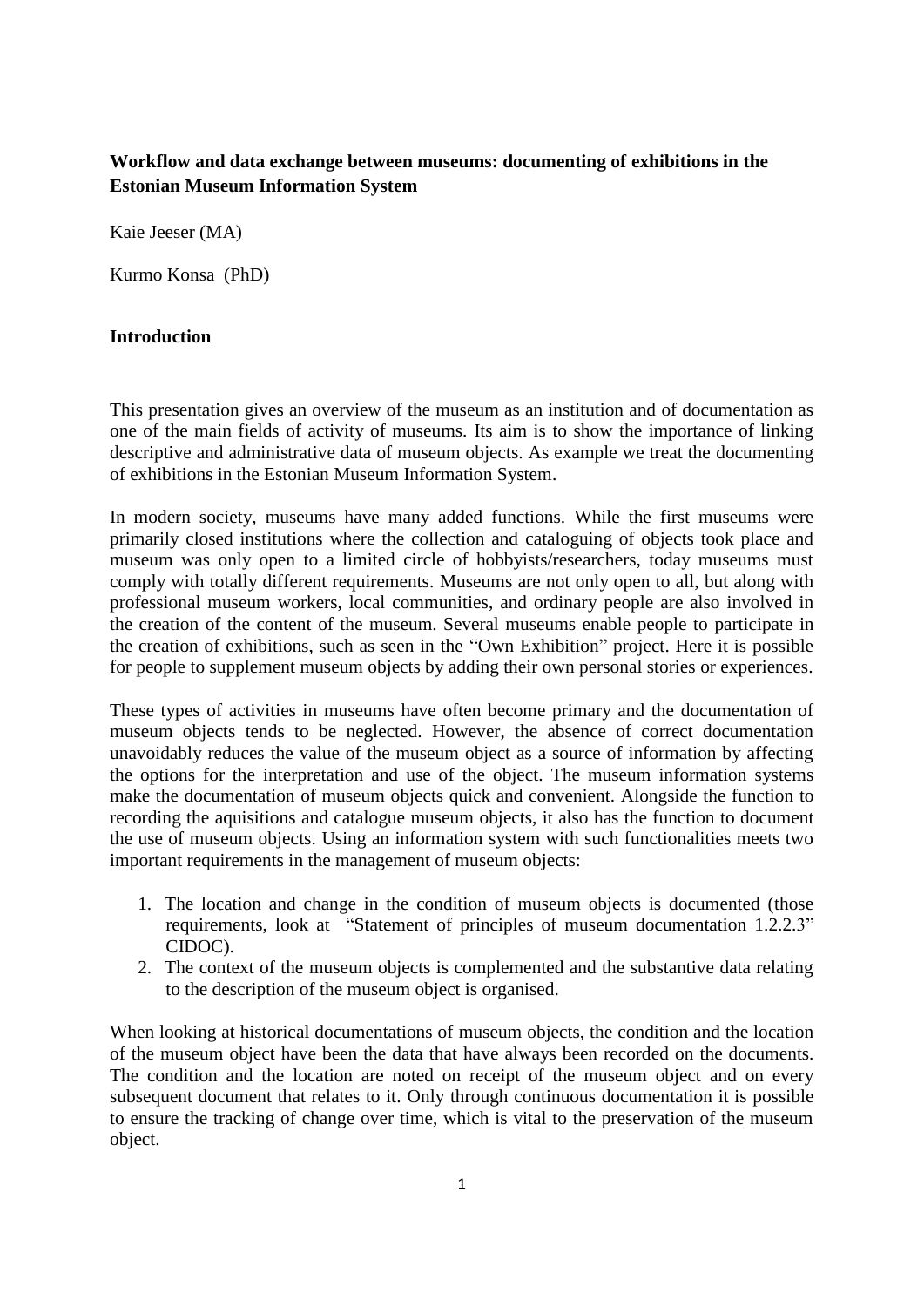# **Workflow and data exchange between museums: documenting of exhibitions in the Estonian Museum Information System**

Kaie Jeeser (MA)

Kurmo Konsa (PhD)

## **Introduction**

This presentation gives an overview of the museum as an institution and of documentation as one of the main fields of activity of museums. Its aim is to show the importance of linking descriptive and administrative data of museum objects. As example we treat the documenting of exhibitions in the Estonian Museum Information System.

In modern society, museums have many added functions. While the first museums were primarily closed institutions where the collection and cataloguing of objects took place and museum was only open to a limited circle of hobbyists/researchers, today museums must comply with totally different requirements. Museums are not only open to all, but along with professional museum workers, local communities, and ordinary people are also involved in the creation of the content of the museum. Several museums enable people to participate in the creation of exhibitions, such as seen in the "Own Exhibition" project. Here it is possible for people to supplement museum objects by adding their own personal stories or experiences.

These types of activities in museums have often become primary and the documentation of museum objects tends to be neglected. However, the absence of correct documentation unavoidably reduces the value of the museum object as a source of information by affecting the options for the interpretation and use of the object. The museum information systems make the documentation of museum objects quick and convenient. Alongside the function to recording the aquisitions and catalogue museum objects, it also has the function to document the use of museum objects. Using an information system with such functionalities meets two important requirements in the management of museum objects:

- 1. The location and change in the condition of museum objects is documented (those requirements, look at "Statement of principles of museum documentation 1.2.2.3" CIDOC).
- 2. The context of the museum objects is complemented and the substantive data relating to the description of the museum object is organised.

When looking at historical documentations of museum objects, the condition and the location of the museum object have been the data that have always been recorded on the documents. The condition and the location are noted on receipt of the museum object and on every subsequent document that relates to it. Only through continuous documentation it is possible to ensure the tracking of change over time, which is vital to the preservation of the museum object.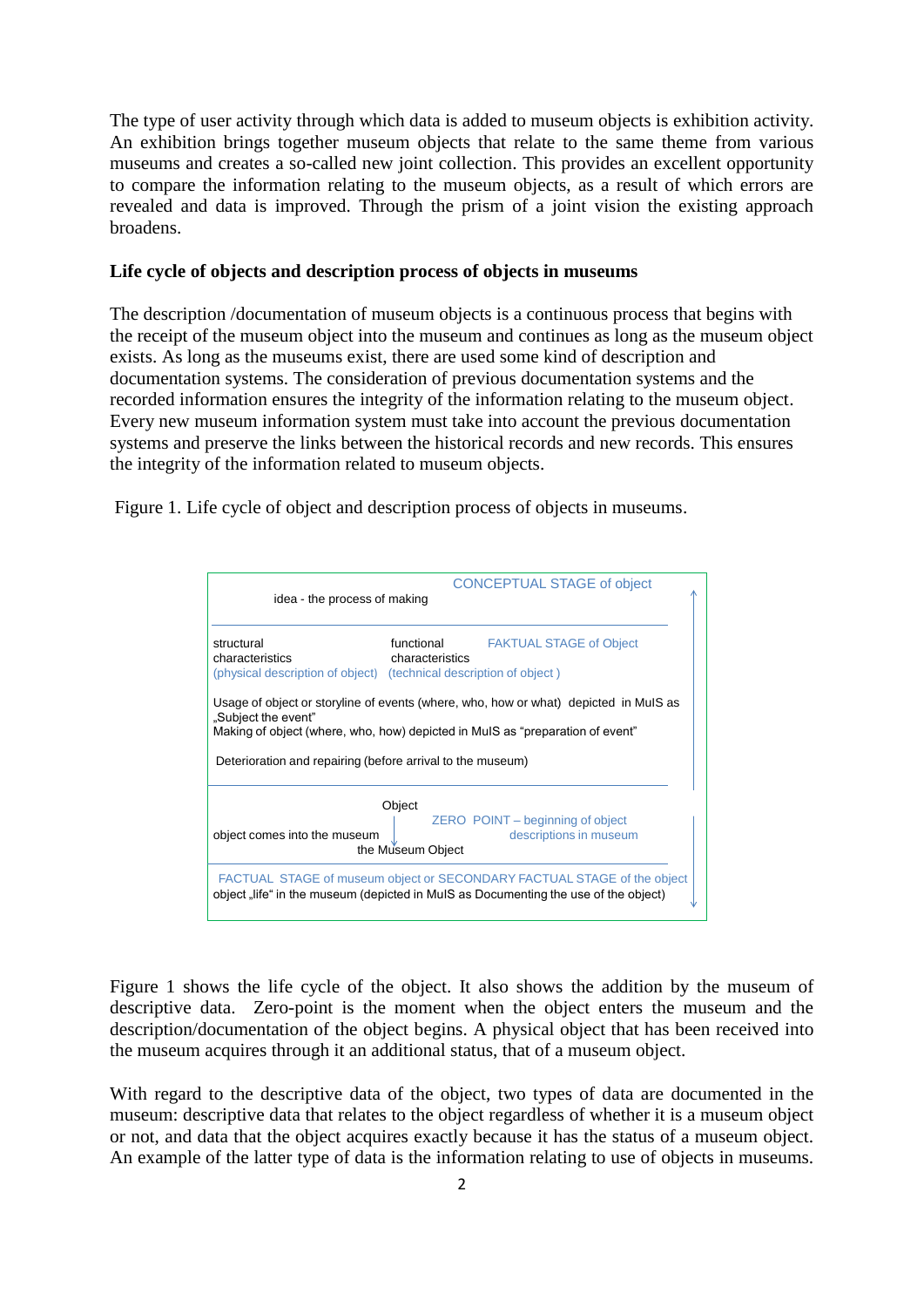The type of user activity through which data is added to museum objects is exhibition activity. An exhibition brings together museum objects that relate to the same theme from various museums and creates a so-called new joint collection. This provides an excellent opportunity to compare the information relating to the museum objects, as a result of which errors are revealed and data is improved. Through the prism of a joint vision the existing approach broadens.

#### **Life cycle of objects and description process of objects in museums**

The description /documentation of museum objects is a continuous process that begins with the receipt of the museum object into the museum and continues as long as the museum object exists. As long as the museums exist, there are used some kind of description and documentation systems. The consideration of previous documentation systems and the recorded information ensures the integrity of the information relating to the museum object. Every new museum information system must take into account the previous documentation systems and preserve the links between the historical records and new records. This ensures the integrity of the information related to museum objects.

Figure 1. Life cycle of object and description process of objects in museums.

| <b>CONCEPTUAL STAGE of object</b><br>idea - the process of making                                                                                                                                                                                          |                               |                                                            |
|------------------------------------------------------------------------------------------------------------------------------------------------------------------------------------------------------------------------------------------------------------|-------------------------------|------------------------------------------------------------|
| structural<br>characteristics<br>(physical description of object) (technical description of object)                                                                                                                                                        | functional<br>characteristics | <b>FAKTUAL STAGE of Object</b>                             |
| Usage of object or storyline of events (where, who, how or what) depicted in MuIS as<br>"Subject the event"<br>Making of object (where, who, how) depicted in MuIS as "preparation of event"<br>Deterioration and repairing (before arrival to the museum) |                               |                                                            |
| object comes into the museum                                                                                                                                                                                                                               | Object<br>the Museum Object   | ZERO POINT – beginning of object<br>descriptions in museum |
| FACTUAL STAGE of museum object or SECONDARY FACTUAL STAGE of the object<br>object "life" in the museum (depicted in MuIS as Documenting the use of the object)                                                                                             |                               |                                                            |

Figure 1 shows the life cycle of the object. It also shows the addition by the museum of descriptive data. Zero-point is the moment when the object enters the museum and the description/documentation of the object begins. A physical object that has been received into the museum acquires through it an additional status, that of a museum object.

With regard to the descriptive data of the object, two types of data are documented in the museum: descriptive data that relates to the object regardless of whether it is a museum object or not, and data that the object acquires exactly because it has the status of a museum object. An example of the latter type of data is the information relating to use of objects in museums.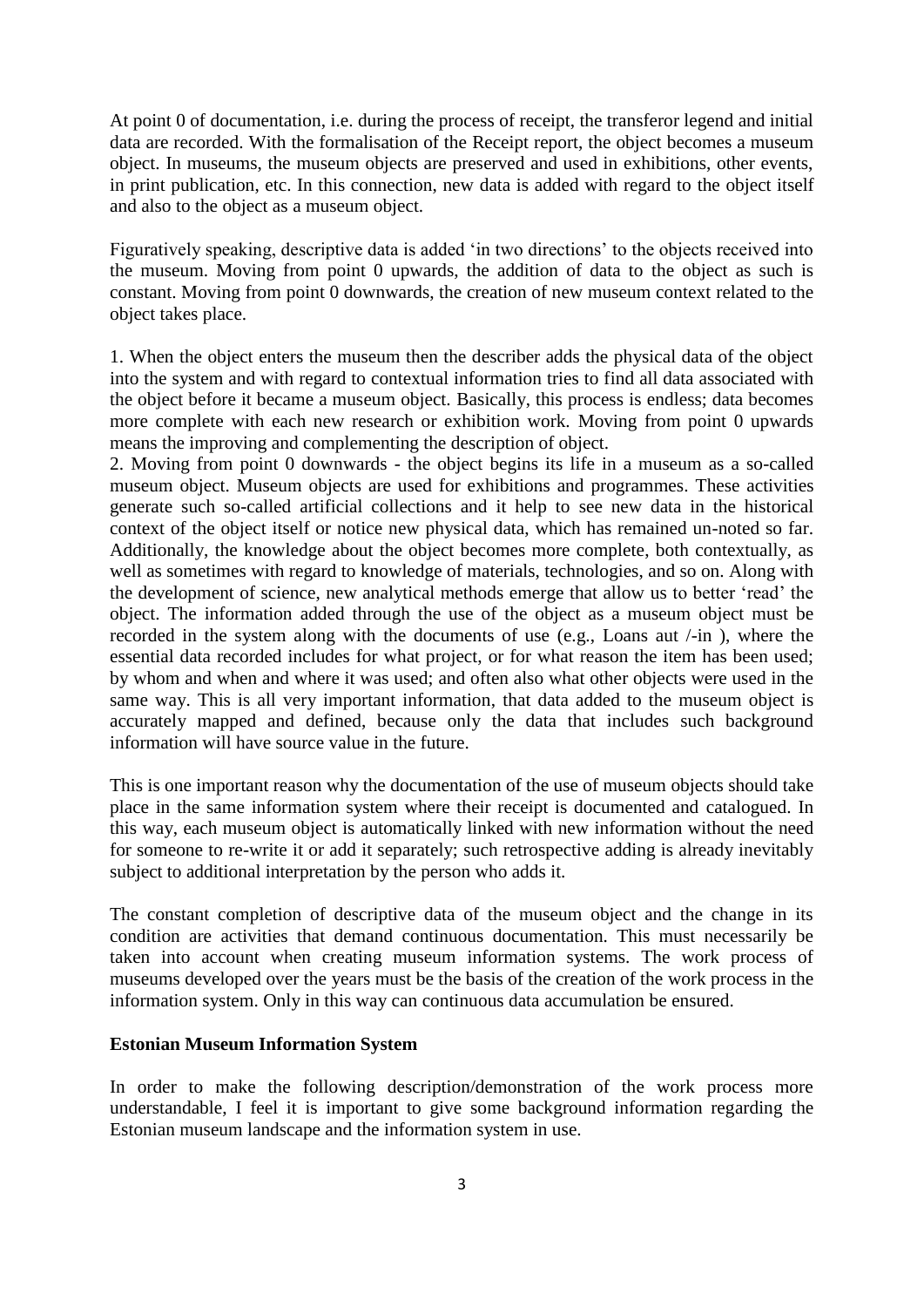At point 0 of documentation, i.e. during the process of receipt, the transferor legend and initial data are recorded. With the formalisation of the Receipt report, the object becomes a museum object. In museums, the museum objects are preserved and used in exhibitions, other events, in print publication, etc. In this connection, new data is added with regard to the object itself and also to the object as a museum object.

Figuratively speaking, descriptive data is added 'in two directions' to the objects received into the museum. Moving from point 0 upwards, the addition of data to the object as such is constant. Moving from point 0 downwards, the creation of new museum context related to the object takes place.

1. When the object enters the museum then the describer adds the physical data of the object into the system and with regard to contextual information tries to find all data associated with the object before it became a museum object. Basically, this process is endless; data becomes more complete with each new research or exhibition work. Moving from point 0 upwards means the improving and complementing the description of object.

2. Moving from point 0 downwards - the object begins its life in a museum as a so-called museum object. Museum objects are used for exhibitions and programmes. These activities generate such so-called artificial collections and it help to see new data in the historical context of the object itself or notice new physical data, which has remained un-noted so far. Additionally, the knowledge about the object becomes more complete, both contextually, as well as sometimes with regard to knowledge of materials, technologies, and so on. Along with the development of science, new analytical methods emerge that allow us to better 'read' the object. The information added through the use of the object as a museum object must be recorded in the system along with the documents of use (e.g., Loans aut /-in ), where the essential data recorded includes for what project, or for what reason the item has been used; by whom and when and where it was used; and often also what other objects were used in the same way. This is all very important information, that data added to the museum object is accurately mapped and defined, because only the data that includes such background information will have source value in the future.

This is one important reason why the documentation of the use of museum objects should take place in the same information system where their receipt is documented and catalogued. In this way, each museum object is automatically linked with new information without the need for someone to re-write it or add it separately; such retrospective adding is already inevitably subject to additional interpretation by the person who adds it.

The constant completion of descriptive data of the museum object and the change in its condition are activities that demand continuous documentation. This must necessarily be taken into account when creating museum information systems. The work process of museums developed over the years must be the basis of the creation of the work process in the information system. Only in this way can continuous data accumulation be ensured.

## **Estonian Museum Information System**

In order to make the following description/demonstration of the work process more understandable, I feel it is important to give some background information regarding the Estonian museum landscape and the information system in use.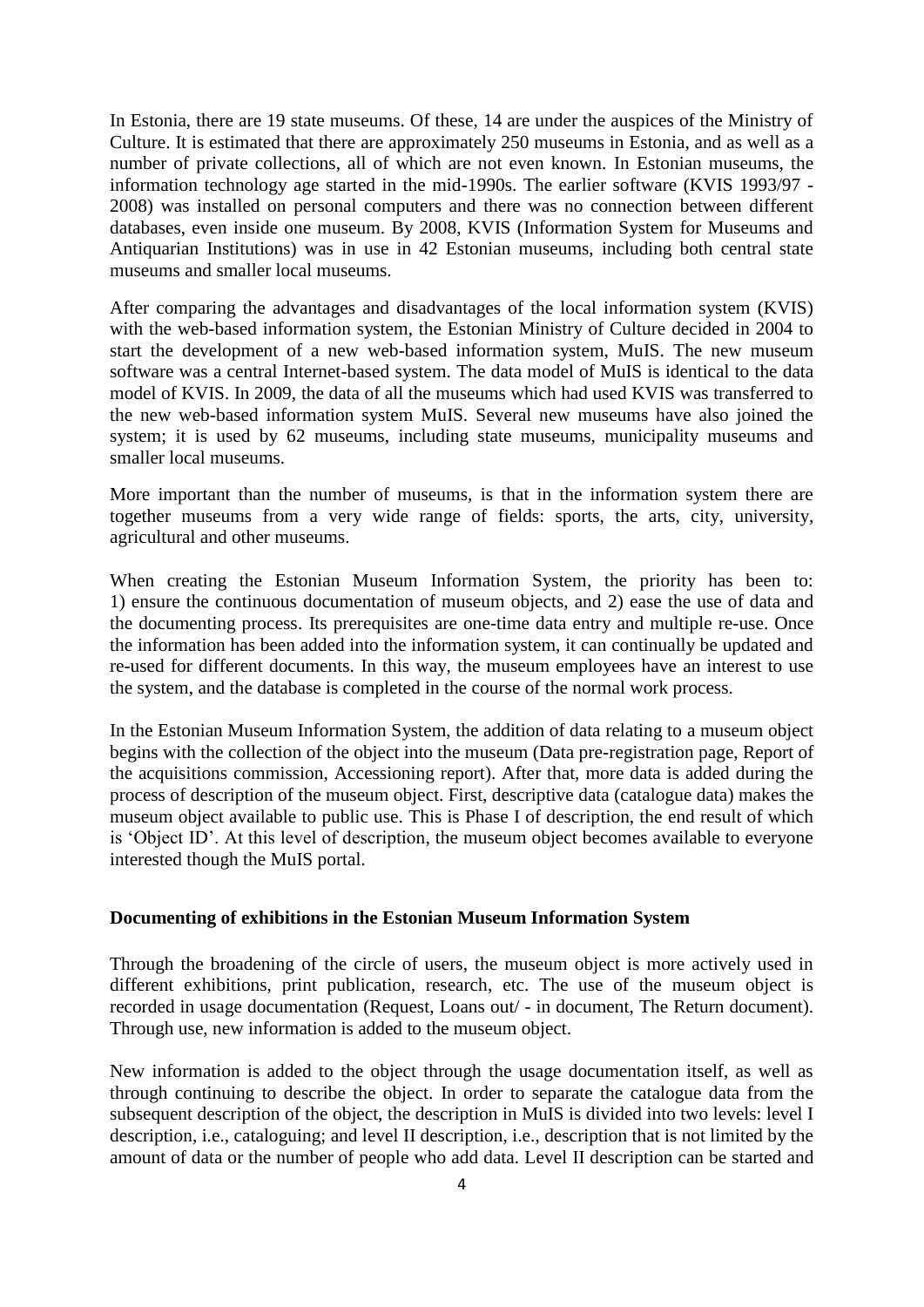In Estonia, there are 19 state museums. Of these, 14 are under the auspices of the Ministry of Culture. It is estimated that there are approximately 250 museums in Estonia, and as well as a number of private collections, all of which are not even known. In Estonian museums, the information technology age started in the mid-1990s. The earlier software (KVIS 1993/97 - 2008) was installed on personal computers and there was no connection between different databases, even inside one museum. By 2008, KVIS (Information System for Museums and Antiquarian Institutions) was in use in 42 Estonian museums, including both central state museums and smaller local museums.

After comparing the advantages and disadvantages of the local information system (KVIS) with the web-based information system, the Estonian Ministry of Culture decided in 2004 to start the development of a new web-based information system, MuIS. The new museum software was a central Internet-based system. The data model of MuIS is identical to the data model of KVIS. In 2009, the data of all the museums which had used KVIS was transferred to the new web-based information system MuIS. Several new museums have also joined the system; it is used by 62 museums, including state museums, municipality museums and smaller local museums.

More important than the number of museums, is that in the information system there are together museums from a very wide range of fields: sports, the arts, city, university, agricultural and other museums.

When creating the Estonian Museum Information System, the priority has been to: 1) ensure the continuous documentation of museum objects, and 2) ease the use of data and the documenting process. Its prerequisites are one-time data entry and multiple re-use. Once the information has been added into the information system, it can continually be updated and re-used for different documents. In this way, the museum employees have an interest to use the system, and the database is completed in the course of the normal work process.

In the Estonian Museum Information System, the addition of data relating to a museum object begins with the collection of the object into the museum (Data pre-registration page, Report of the acquisitions commission, Accessioning report). After that, more data is added during the process of description of the museum object. First, descriptive data (catalogue data) makes the museum object available to public use. This is Phase I of description, the end result of which is 'Object ID'. At this level of description, the museum object becomes available to everyone interested though the MuIS portal.

#### **Documenting of exhibitions in the Estonian Museum Information System**

Through the broadening of the circle of users, the museum object is more actively used in different exhibitions, print publication, research, etc. The use of the museum object is recorded in usage documentation (Request, Loans out/ - in document, The Return document). Through use, new information is added to the museum object.

New information is added to the object through the usage documentation itself, as well as through continuing to describe the object. In order to separate the catalogue data from the subsequent description of the object, the description in MuIS is divided into two levels: level I description, i.e., cataloguing; and level II description, i.e., description that is not limited by the amount of data or the number of people who add data. Level II description can be started and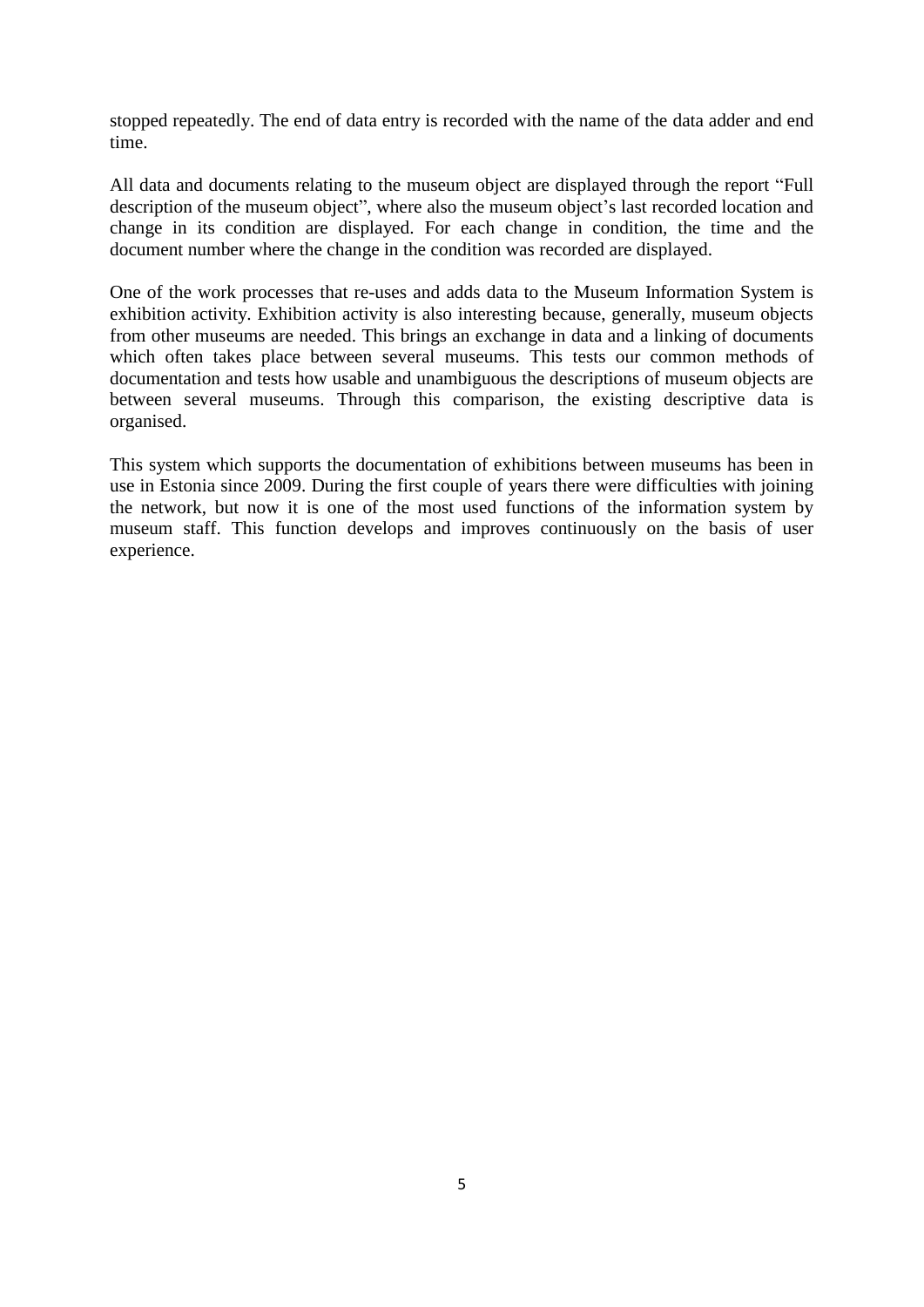stopped repeatedly. The end of data entry is recorded with the name of the data adder and end time.

All data and documents relating to the museum object are displayed through the report "Full description of the museum object", where also the museum object's last recorded location and change in its condition are displayed. For each change in condition, the time and the document number where the change in the condition was recorded are displayed.

One of the work processes that re-uses and adds data to the Museum Information System is exhibition activity. Exhibition activity is also interesting because, generally, museum objects from other museums are needed. This brings an exchange in data and a linking of documents which often takes place between several museums. This tests our common methods of documentation and tests how usable and unambiguous the descriptions of museum objects are between several museums. Through this comparison, the existing descriptive data is organised.

This system which supports the documentation of exhibitions between museums has been in use in Estonia since 2009. During the first couple of years there were difficulties with joining the network, but now it is one of the most used functions of the information system by museum staff. This function develops and improves continuously on the basis of user experience.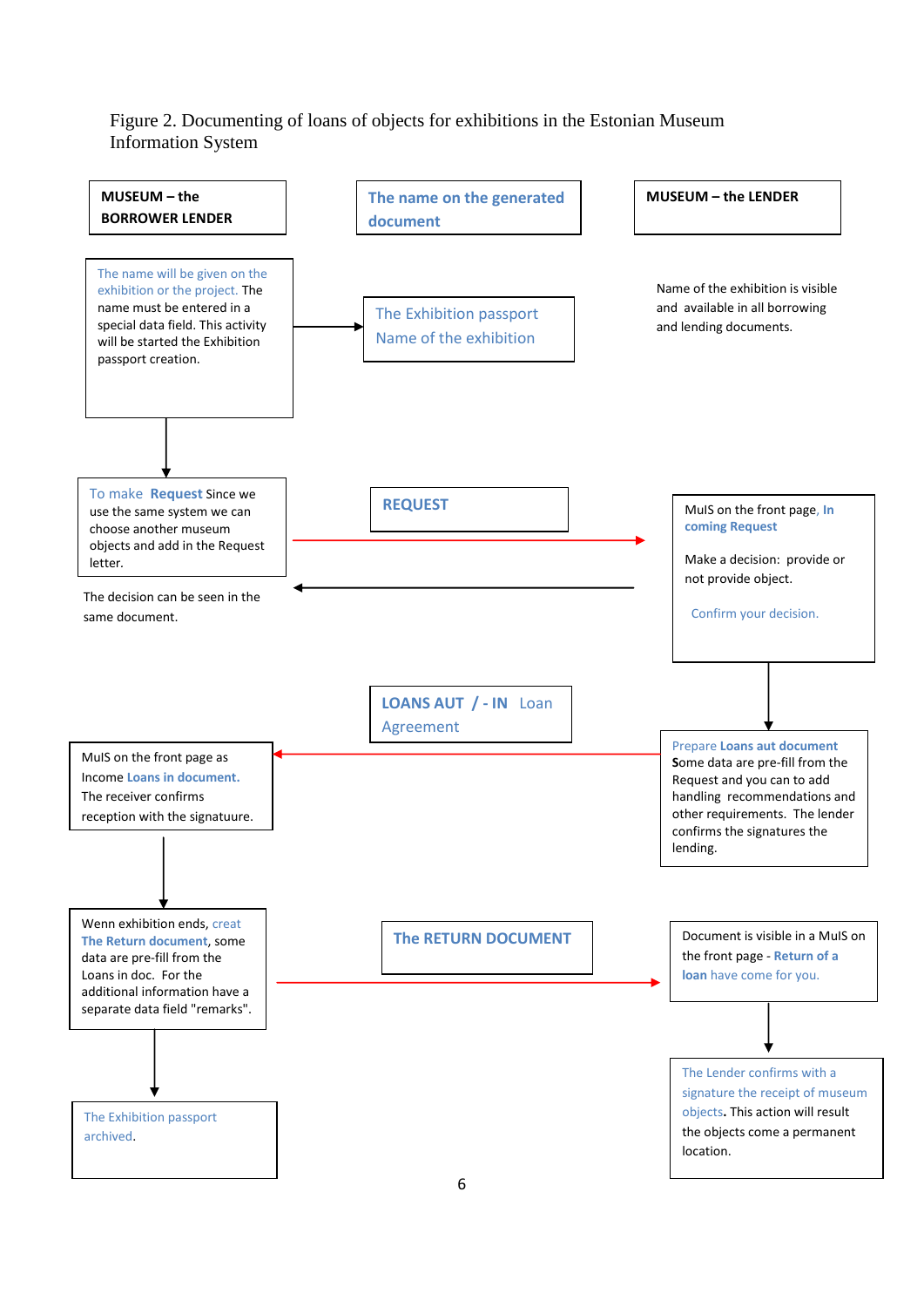### Figure 2. Documenting of loans of objects for exhibitions in the Estonian Museum Information System

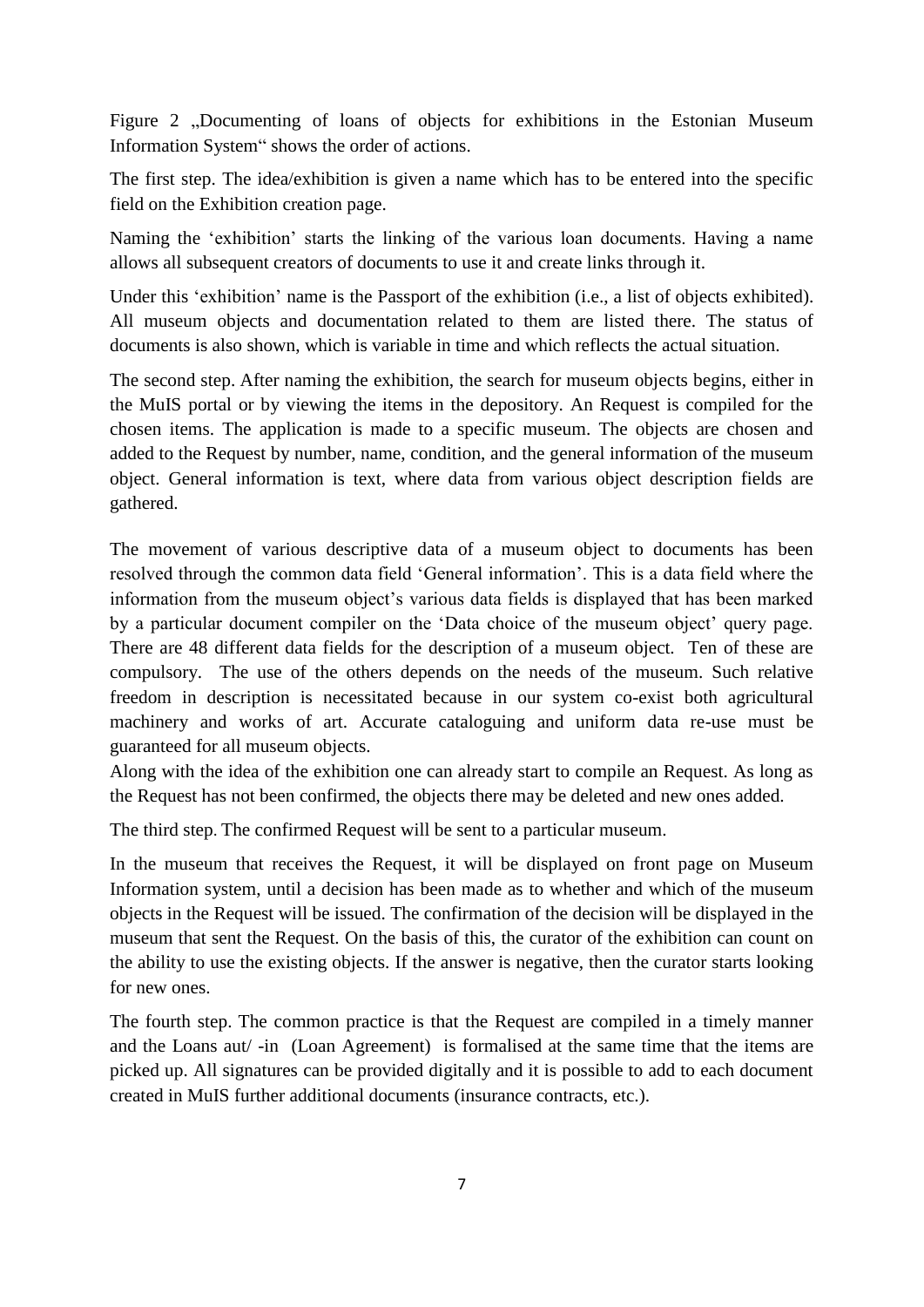Figure 2 .,Documenting of loans of objects for exhibitions in the Estonian Museum Information System" shows the order of actions.

The first step. The idea/exhibition is given a name which has to be entered into the specific field on the Exhibition creation page.

Naming the 'exhibition' starts the linking of the various loan documents. Having a name allows all subsequent creators of documents to use it and create links through it.

Under this 'exhibition' name is the Passport of the exhibition (i.e., a list of objects exhibited). All museum objects and documentation related to them are listed there. The status of documents is also shown, which is variable in time and which reflects the actual situation.

The second step. After naming the exhibition, the search for museum objects begins, either in the MuIS portal or by viewing the items in the depository. An Request is compiled for the chosen items. The application is made to a specific museum. The objects are chosen and added to the Request by number, name, condition, and the general information of the museum object. General information is text, where data from various object description fields are gathered.

The movement of various descriptive data of a museum object to documents has been resolved through the common data field 'General information'. This is a data field where the information from the museum object's various data fields is displayed that has been marked by a particular document compiler on the 'Data choice of the museum object' query page. There are 48 different data fields for the description of a museum object. Ten of these are compulsory. The use of the others depends on the needs of the museum. Such relative freedom in description is necessitated because in our system co-exist both agricultural machinery and works of art. Accurate cataloguing and uniform data re-use must be guaranteed for all museum objects.

Along with the idea of the exhibition one can already start to compile an Request. As long as the Request has not been confirmed, the objects there may be deleted and new ones added.

The third step. The confirmed Request will be sent to a particular museum.

In the museum that receives the Request, it will be displayed on front page on Museum Information system, until a decision has been made as to whether and which of the museum objects in the Request will be issued. The confirmation of the decision will be displayed in the museum that sent the Request. On the basis of this, the curator of the exhibition can count on the ability to use the existing objects. If the answer is negative, then the curator starts looking for new ones.

The fourth step. The common practice is that the Request are compiled in a timely manner and the Loans aut/ -in (Loan Agreement) is formalised at the same time that the items are picked up. All signatures can be provided digitally and it is possible to add to each document created in MuIS further additional documents (insurance contracts, etc.).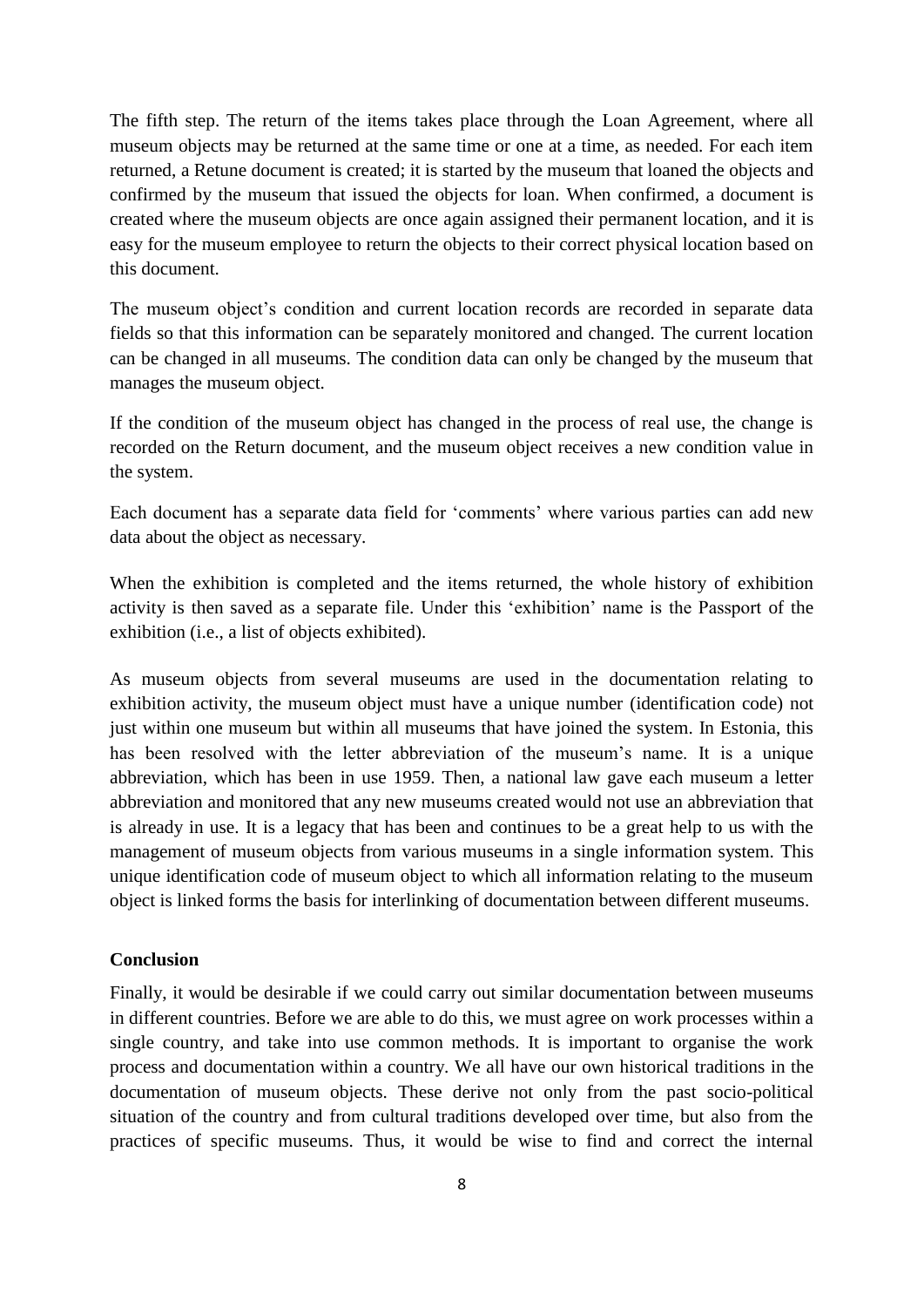The fifth step. The return of the items takes place through the Loan Agreement, where all museum objects may be returned at the same time or one at a time, as needed. For each item returned, a Retune document is created; it is started by the museum that loaned the objects and confirmed by the museum that issued the objects for loan. When confirmed, a document is created where the museum objects are once again assigned their permanent location, and it is easy for the museum employee to return the objects to their correct physical location based on this document.

The museum object's condition and current location records are recorded in separate data fields so that this information can be separately monitored and changed. The current location can be changed in all museums. The condition data can only be changed by the museum that manages the museum object.

If the condition of the museum object has changed in the process of real use, the change is recorded on the Return document, and the museum object receives a new condition value in the system.

Each document has a separate data field for 'comments' where various parties can add new data about the object as necessary.

When the exhibition is completed and the items returned, the whole history of exhibition activity is then saved as a separate file. Under this 'exhibition' name is the Passport of the exhibition (i.e., a list of objects exhibited).

As museum objects from several museums are used in the documentation relating to exhibition activity, the museum object must have a unique number (identification code) not just within one museum but within all museums that have joined the system. In Estonia, this has been resolved with the letter abbreviation of the museum's name. It is a unique abbreviation, which has been in use 1959. Then, a national law gave each museum a letter abbreviation and monitored that any new museums created would not use an abbreviation that is already in use. It is a legacy that has been and continues to be a great help to us with the management of museum objects from various museums in a single information system. This unique identification code of museum object to which all information relating to the museum object is linked forms the basis for interlinking of documentation between different museums.

## **Conclusion**

Finally, it would be desirable if we could carry out similar documentation between museums in different countries. Before we are able to do this, we must agree on work processes within a single country, and take into use common methods. It is important to organise the work process and documentation within a country. We all have our own historical traditions in the documentation of museum objects. These derive not only from the past socio-political situation of the country and from cultural traditions developed over time, but also from the practices of specific museums. Thus, it would be wise to find and correct the internal